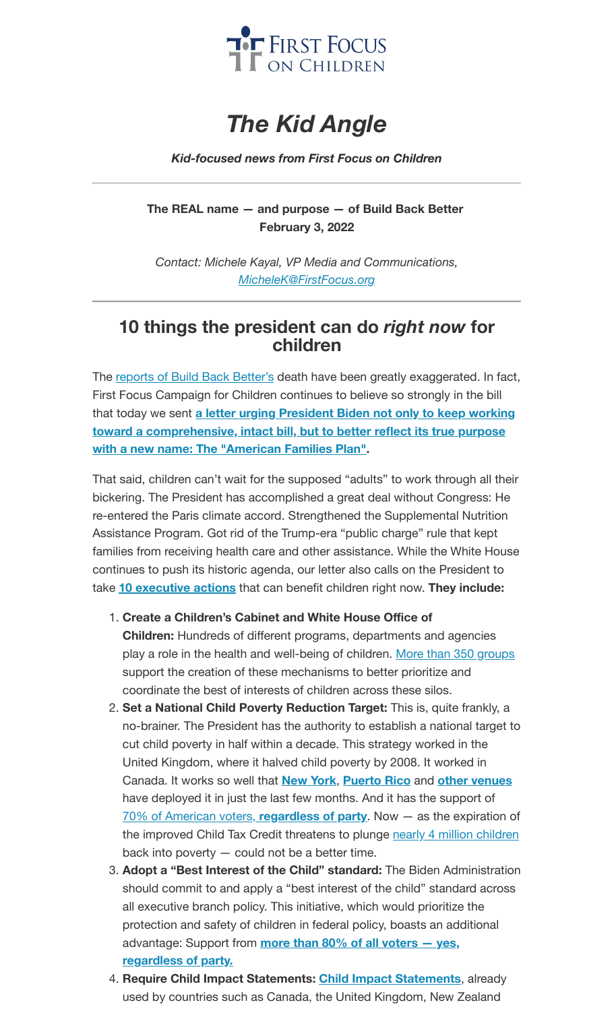

## *The Kid Angle*

## *Kid-focused news from First Focus on Children*

**The REAL name — and purpose — of Build Back Better February 3, 2022**

*Contact: Michele Kayal, VP Media and Communications, [MicheleK@FirstFocus.org](mailto:MicheleK@firstfocus.org)*

## **10 things the president can do** *right now* **for children**

The [reports of](https://action.campaignforchildren.org/r?u=GmrkqIvTVM5Gw19P8OEWnqPAtIHhAMxU89vlTUXNYDYsfblOZVAwao14BhB4kTZ7mlvAofsdFXo3uvMi3YR54OSB3nu32ukIL1kDLZoTUDzjZxnph1SnX-FSYofkYV-7B-gh702vOYi7StLGkCssrg&e=f6ea544ce311654fd4751812d0167993&utm_source=ffcc&utm_medium=email&utm_campaign=_87_bbb_letter_to_admin&n=3&test_email=1) Build Back Better's death have been greatly exaggerated. In fact, First Focus Campaign for Children continues to believe so strongly in the bill that today we sent **a letter urging President Biden not only to keep working toward a [comprehensive,](https://action.campaignforchildren.org/r?u=Zn-t2gzc2kWpklGmO8vivuRFiXshYtpZJ4BT5tJu2CXoxi65ktSmfLTlvCCu_RCkhsPD4XkfMXo_SJ-j6mvxlPPtFLD7QyByegBqbd0fSDCQqf0PPDNlvVLuLcNMo_YU1jQwXu4GwY-Vh9DssKWAvZS6Fe4G5CnGLks6Wf4k15ttbKqQDcDxGhlG5GRMitL3&e=f6ea544ce311654fd4751812d0167993&utm_source=ffcc&utm_medium=email&utm_campaign=_87_bbb_letter_to_admin&n=4&test_email=1) intact bill, but to better reflect its true purpose with a new name: The "American Families Plan".**

That said, children can't wait for the supposed "adults" to work through all their bickering. The President has accomplished a great deal without Congress: He re-entered the Paris climate accord. Strengthened the Supplemental Nutrition Assistance Program. Got rid of the Trump-era "public charge" rule that kept families from receiving health care and other assistance. While the White House continues to push its historic agenda, our letter also calls on the President to take **10 [executive](https://action.campaignforchildren.org/r?u=Zn-t2gzc2kWpklGmO8vivuRFiXshYtpZJ4BT5tJu2CXoxi65ktSmfLTlvCCu_RCkhsPD4XkfMXo_SJ-j6mvxlPPtFLD7QyByegBqbd0fSDCQqf0PPDNlvVLuLcNMo_YU1jQwXu4GwY-Vh9DssKWAvZS6Fe4G5CnGLks6Wf4k15ttbKqQDcDxGhlG5GRMitL3&e=f6ea544ce311654fd4751812d0167993&utm_source=ffcc&utm_medium=email&utm_campaign=_87_bbb_letter_to_admin&n=5&test_email=1) actions** that can benefit children right now. **They include:**

- 1. **Create a Children's Cabinet and White House Office of Children:** Hundreds of different programs, departments and agencies play a role in the health and well-being of children. More than 350 [groups](https://action.campaignforchildren.org/r?u=NMA8ebEnxyGSmQi2dqpx1BEc47i074w27tLoJbgEKz5Vu0xwabPoxwRHxzNLAlUdtac1f5qz8Z2qHKVsUsC2WjqNAH5GKF6Wc0TDXFjVNjmPHEWI0KqsFsp798SV-q9DrddVcnvMB9QOPTJ2LoNgQAY5in1CYJsEJ5aWUiSq3kJkn52tRt0xiJoFfPws1uQNjuSDLCrmap8zYTMDARMMmQ&e=f6ea544ce311654fd4751812d0167993&utm_source=ffcc&utm_medium=email&utm_campaign=_87_bbb_letter_to_admin&n=6&test_email=1) support the creation of these mechanisms to better prioritize and coordinate the best of interests of children across these silos.
- 2. **Set a National Child Poverty Reduction Target:** This is, quite frankly, a no-brainer. The President has the authority to establish a national target to cut child poverty in half within a decade. This strategy worked in the United Kingdom, where it halved child poverty by 2008. It worked in Canada. It works so well that **[New](https://action.campaignforchildren.org/r?u=AQhPQDES8mDtpXheyOyvYmyqk_XOTgc_9IzwRQjXRMg8eNLzpzECzcxD3aYwRPt4n5LRqEQjcttefWx8PsAAwBnaxiLJZ13-3-GAsoKBVZBdQna96DMUVaxWIeioCyyvNzhEAwI2uWemrVrmL7oNV2uD8R-DzJezdV0KpZHuA_c&e=f6ea544ce311654fd4751812d0167993&utm_source=ffcc&utm_medium=email&utm_campaign=_87_bbb_letter_to_admin&n=7&test_email=1) York**, **[Puerto](https://action.campaignforchildren.org/r?u=2rkBcjajrhJWoVQMhZ1VUPLbISnGD1TCoj_TvqSzcgFXNCB1LCNPBEBdSRET89vThbyuRXI3mzhMfkjC-I8qWrrvA4woBE5sblWbS6dFAgDaoE8wL5hge9K-SlIOURolc39QQUcPu9RrG6lr9CHZ5c6OEOQ2DYn04dOyKVnQbjU&e=f6ea544ce311654fd4751812d0167993&utm_source=ffcc&utm_medium=email&utm_campaign=_87_bbb_letter_to_admin&n=8&test_email=1) Rico** and **other [venues](https://action.campaignforchildren.org/r?u=adxrrXjbU0SNoiv-XYc4HIgKak6zO8JVcUn9kz2cKv70UP32Fbxra80KxV43tQAyV3ZcSaAHPX9Ls0yWyWkfEA&e=f6ea544ce311654fd4751812d0167993&utm_source=ffcc&utm_medium=email&utm_campaign=_87_bbb_letter_to_admin&n=9&test_email=1)** have deployed it in just the last few months. And it has the support of 70% of American voters, **[regardless](https://action.campaignforchildren.org/r?u=FzF-KU0ygDWc21UK_uySesHO9zqwdZU2tCHmDtuAJbqJ62inKHAV4s7hov1gLuDaXxBTOkDJuXjhMo2fmDwjZ1c3Ynkx4ptcF2_ZIIcQlpw&e=f6ea544ce311654fd4751812d0167993&utm_source=ffcc&utm_medium=email&utm_campaign=_87_bbb_letter_to_admin&n=10&test_email=1) of party**. Now — as the expiration of the improved Child Tax Credit threatens to plunge nearly 4 million [children](https://action.campaignforchildren.org/r?u=UmPwcm28_uDg6gTj_jN0OFQGFP1Darjs7xjyaWV7fPq31gIxt7SXaWsiMGDEAnqc2Pqj1LC59e08udMt5Y1Gxd1liRL07feyKCDgGE7ayz2iNIIE1c9WlHAIJKm-zbtb&e=f6ea544ce311654fd4751812d0167993&utm_source=ffcc&utm_medium=email&utm_campaign=_87_bbb_letter_to_admin&n=11&test_email=1) back into poverty — could not be a better time.
- 3. **Adopt a "Best Interest of the Child" standard:** The Biden Administration should commit to and apply a "best interest of the child" standard across all executive branch policy. This initiative, which would prioritize the protection and safety of children in federal policy, boasts an additional [advantage:](https://action.campaignforchildren.org/r?u=FzF-KU0ygDWc21UK_uySesHO9zqwdZU2tCHmDtuAJbqJ62inKHAV4s7hov1gLuDaXxBTOkDJuXjhMo2fmDwjZ1c3Ynkx4ptcF2_ZIIcQlpw&e=f6ea544ce311654fd4751812d0167993&utm_source=ffcc&utm_medium=email&utm_campaign=_87_bbb_letter_to_admin&n=12&test_email=1) Support from **more than 80% of all voters — yes, regardless of party.**
- 4. **Require Child Impact Statements: Child Impact [Statements](https://action.campaignforchildren.org/r?u=FzF-KU0ygDWc21UK_uySejzGzcNIqw_uw330mZshTaj1CSHhuFzDYle6d3HvGEOOIImUgpOhSd1dFvHnkHsJqA0EaiFjKwuoMCGgWh5so34&e=f6ea544ce311654fd4751812d0167993&utm_source=ffcc&utm_medium=email&utm_campaign=_87_bbb_letter_to_admin&n=13&test_email=1)**, already used by countries such as Canada, the United Kingdom, New Zealand